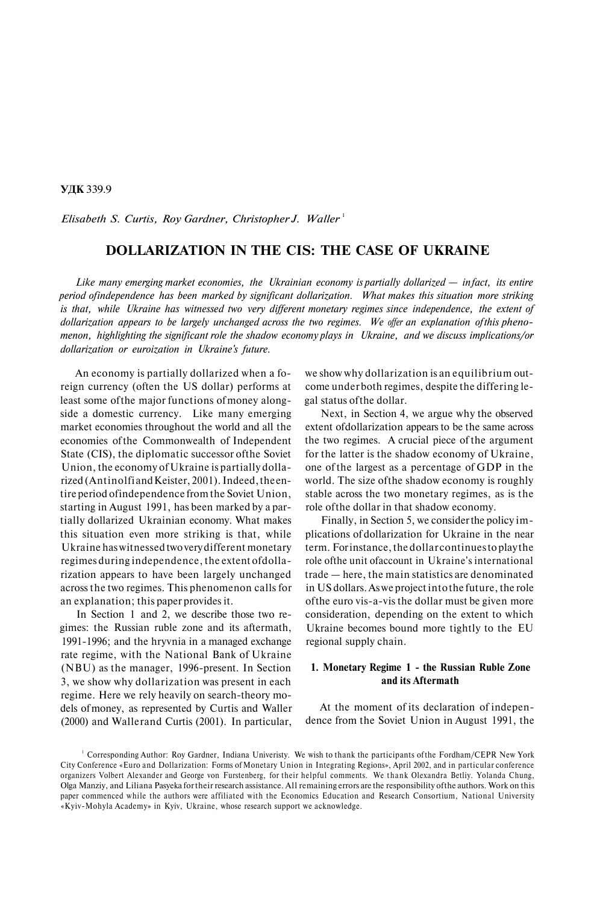**УДК** 339.9

*Elisabeth S. Curtis, Roy Gardner, Christopher J. Waller*<sup>1</sup>

# **DOLLARIZATION IN THE CIS: THE CASE OF UKRAINE**

*Like many emerging market economies, the Ukrainian economy is partially dollarized — in fact, its entire period of independence has been marked by significant dollarization. What makes this situation more striking is that, while Ukraine has witnessed two very different monetary regimes since independence, the extent of dollarization appears to be largely unchanged across the two regimes. We offer an explanation of this phenomenon, highlighting the significant role the shadow economy plays in Ukraine, and we discuss implications/or dollarization or euroization in Ukraine's future.*

An economy is partially dollarized when a foreign currency (often the US dollar) performs at least some of the major functions of money alongside a domestic currency. Like many emerging market economies throughout the world and all the economies of the Commonwealth of Independent State (CIS), the diplomatic successor of the Soviet Union, the economy of Ukraine is partially dollarized (Antinolfi and Keister, 2001). Indeed, the entire period of independence from the Soviet Union, starting in August 1991, has been marked by a partially dollarized Ukrainian economy. What makes this situation even more striking is that, while Ukraine has witnessed two very different monetary regimes during independence, the extent of dollarization appears to have been largely unchanged across the two regimes. This phenomenon calls for an explanation; this paper provides it.

In Section 1 and 2, we describe those two regimes: the Russian ruble zone and its aftermath, 1991-1996; and the hryvnia in a managed exchange rate regime, with the National Bank of Ukraine (NBU) as the manager, 1996-present. In Section 3, we show why dollarization was present in each regime. Here we rely heavily on search-theory models of money, as represented by Curtis and Waller (2000) and Wallerand Curtis (2001). In particular,

we show why dollarization is an equilibrium outcome under both regimes, despite the differing legal status of the dollar.

Next, in Section 4, we argue why the observed extent of dollarization appears to be the same across the two regimes. A crucial piece of the argument for the latter is the shadow economy of Ukraine, one of the largest as a percentage of GDP in the world. The size of the shadow economy is roughly stable across the two monetary regimes, as is the role of the dollar in that shadow economy.

Finally, in Section 5, we consider the policy implications of dollarization for Ukraine in the near term. For instance, the dollar continues to play the role of the unit of account in Ukraine's international trade — here, the main statistics are denominated in US dollars. As we project into the future, the role of the euro vis-a-vis the dollar must be given more consideration, depending on the extent to which Ukraine becomes bound more tightly to the EU regional supply chain.

## **1. Monetary Regime 1 - the Russian Ruble Zone and its Aftermath**

At the moment of its declaration of independence from the Soviet Union in August 1991, the

<sup>1</sup> Corresponding Author: Roy Gardner, Indiana Univeristy. We wish to thank the participants of the Fordham/CEPR New York City Conference «Euro and Dollarization: Forms of Monetary Union in Integrating Regions», April 2002, and in particular conference organizers Volbert Alexander and George von Furstenberg, for their helpful comments. We thank Olexandra Betliy. Yolanda Chung, Olga Manziy, and Liliana Pasyeka for their research assistance. All remaining errors are the responsibility of the authors. Work on this paper commenced while the authors were affiliated with the Economics Education and Research Consortium, National University «Kyiv-Mohyla Academy» in Kyiv, Ukraine, whose research support we acknowledge.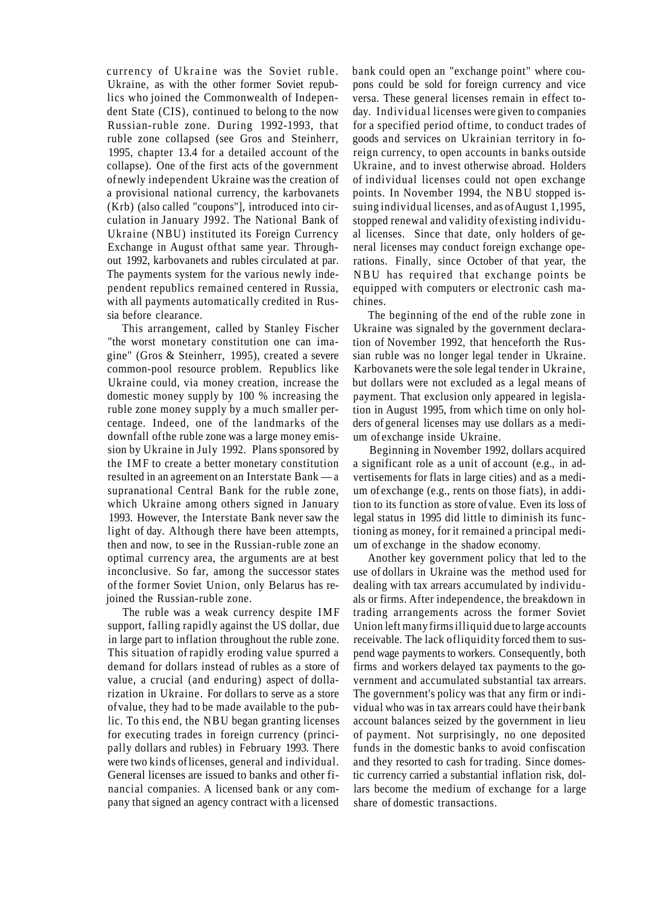currency of Ukraine was the Soviet ruble. Ukraine, as with the other former Soviet republics who joined the Commonwealth of Independent State (CIS), continued to belong to the now Russian-ruble zone. During 1992-1993, that ruble zone collapsed (see Gros and Steinherr, 1995, chapter 13.4 for a detailed account of the collapse). One of the first acts of the government of newly independent Ukraine was the creation of a provisional national currency, the karbovanets (Krb) (also called "coupons"], introduced into circulation in January J992. The National Bank of Ukraine (NBU) instituted its Foreign Currency Exchange in August ofthat same year. Throughout 1992, karbovanets and rubles circulated at par. The payments system for the various newly independent republics remained centered in Russia, with all payments automatically credited in Russia before clearance.

This arrangement, called by Stanley Fischer "the worst monetary constitution one can imagine" (Gros & Steinherr, 1995), created a severe common-pool resource problem. Republics like Ukraine could, via money creation, increase the domestic money supply by 100 % increasing the ruble zone money supply by a much smaller percentage. Indeed, one of the landmarks of the downfall of the ruble zone was a large money emission by Ukraine in July 1992. Plans sponsored by the IMF to create a better monetary constitution resulted in an agreement on an Interstate Bank — a supranational Central Bank for the ruble zone, which Ukraine among others signed in January 1993. However, the Interstate Bank never saw the light of day. Although there have been attempts, then and now, to see in the Russian-ruble zone an optimal currency area, the arguments are at best inconclusive. So far, among the successor states of the former Soviet Union, only Belarus has rejoined the Russian-ruble zone.

The ruble was a weak currency despite IMF support, falling rapidly against the US dollar, due in large part to inflation throughout the ruble zone. This situation of rapidly eroding value spurred a demand for dollars instead of rubles as a store of value, a crucial (and enduring) aspect of dollarization in Ukraine. For dollars to serve as a store of value, they had to be made available to the public. To this end, the NBU began granting licenses for executing trades in foreign currency (principally dollars and rubles) in February 1993. There were two kinds of licenses, general and individual. General licenses are issued to banks and other financial companies. A licensed bank or any company that signed an agency contract with a licensed

bank could open an "exchange point" where coupons could be sold for foreign currency and vice versa. These general licenses remain in effect today. Individual licenses were given to companies for a specified period of time, to conduct trades of goods and services on Ukrainian territory in foreign currency, to open accounts in banks outside Ukraine, and to invest otherwise abroad. Holders of individual licenses could not open exchange points. In November 1994, the NBU stopped issuing individual licenses, and as of August 1,1995, stopped renewal and validity of existing individual licenses. Since that date, only holders of general licenses may conduct foreign exchange operations. Finally, since October of that year, the NBU has required that exchange points be equipped with computers or electronic cash machines.

The beginning of the end of the ruble zone in Ukraine was signaled by the government declaration of November 1992, that henceforth the Russian ruble was no longer legal tender in Ukraine. Karbovanets were the sole legal tender in Ukraine, but dollars were not excluded as a legal means of payment. That exclusion only appeared in legislation in August 1995, from which time on only holders of general licenses may use dollars as a medium of exchange inside Ukraine.

Beginning in November 1992, dollars acquired a significant role as a unit of account (e.g., in advertisements for flats in large cities) and as a medium of exchange (e.g., rents on those fiats), in addition to its function as store of value. Even its loss of legal status in 1995 did little to diminish its functioning as money, for it remained a principal medium of exchange in the shadow economy.

Another key government policy that led to the use of dollars in Ukraine was the method used for dealing with tax arrears accumulated by individuals or firms. After independence, the breakdown in trading arrangements across the former Soviet Union left many firms illiquid due to large accounts receivable. The lack ofliquidity forced them to suspend wage payments to workers. Consequently, both firms and workers delayed tax payments to the government and accumulated substantial tax arrears. The government's policy was that any firm or individual who was in tax arrears could have their bank account balances seized by the government in lieu of payment. Not surprisingly, no one deposited funds in the domestic banks to avoid confiscation and they resorted to cash for trading. Since domestic currency carried a substantial inflation risk, dollars become the medium of exchange for a large share of domestic transactions.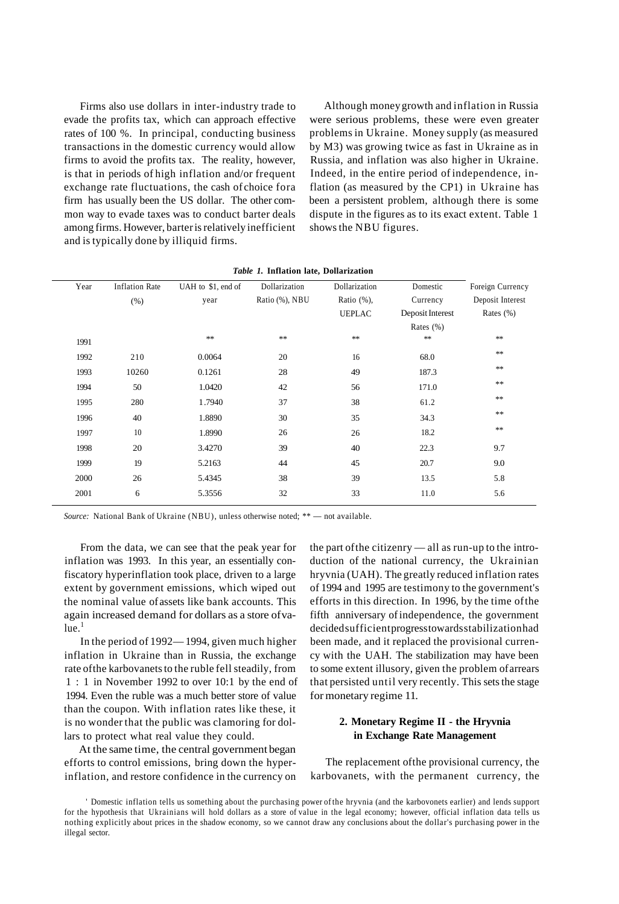Firms also use dollars in inter-industry trade to evade the profits tax, which can approach effective rates of 100 %. In principal, conducting business transactions in the domestic currency would allow firms to avoid the profits tax. The reality, however, is that in periods of high inflation and/or frequent exchange rate fluctuations, the cash of choice fora firm has usually been the US dollar. The other common way to evade taxes was to conduct barter deals among firms. However, barter is relatively inefficient and is typically done by illiquid firms.

Although money growth and inflation in Russia were serious problems, these were even greater problems in Ukraine. Money supply (as measured by M3) was growing twice as fast in Ukraine as in Russia, and inflation was also higher in Ukraine. Indeed, in the entire period of independence, inflation (as measured by the CP1) in Ukraine has been a persistent problem, although there is some dispute in the figures as to its exact extent. Table 1 shows the NBU figures.

| Year | <b>Inflation Rate</b> | UAH to \$1, end of | Dollarization  | Dollarization | Domestic         | Foreign Currency |
|------|-----------------------|--------------------|----------------|---------------|------------------|------------------|
|      | (% )                  | year               | Ratio (%), NBU | Ratio $(\%),$ | Currency         | Deposit Interest |
|      |                       |                    |                | <b>UEPLAC</b> | Deposit Interest | Rates $(\% )$    |
|      |                       |                    |                |               | Rates $(\% )$    |                  |
| 1991 |                       | **                 | $\pm\pm$       | $\ast\ast$    | $\ast\ast$       | $\ast$           |
| 1992 | 210                   | 0.0064             | 20             | 16            | 68.0             | $\ast$           |
| 1993 | 10260                 | 0.1261             | 28             | 49            | 187.3            | $\ast$           |
| 1994 | 50                    | 1.0420             | 42             | 56            | 171.0            | $\ast$           |
| 1995 | 280                   | 1.7940             | 37             | 38            | 61.2             | **               |
| 1996 | 40                    | 1.8890             | 30             | 35            | 34.3             | **               |
| 1997 | 10                    | 1.8990             | 26             | 26            | 18.2             | **               |
| 1998 | 20                    | 3.4270             | 39             | 40            | 22.3             | 9.7              |
| 1999 | 19                    | 5.2163             | 44             | 45            | 20.7             | 9.0              |
| 2000 | 26                    | 5.4345             | 38             | 39            | 13.5             | 5.8              |
| 2001 | 6                     | 5.3556             | 32             | 33            | 11.0             | 5.6              |
|      |                       |                    |                |               |                  |                  |

|  |  |  |  | <i>Table 1.</i> Inflation late, Dollarization |
|--|--|--|--|-----------------------------------------------|
|--|--|--|--|-----------------------------------------------|

*Source:* National Bank of Ukraine (NBU), unless otherwise noted; \*\* — not available.

From the data, we can see that the peak year for inflation was 1993. In this year, an essentially confiscatory hyperinflation took place, driven to a large extent by government emissions, which wiped out the nominal value of assets like bank accounts. This again increased demand for dollars as a store of va $lue.$ <sup>1</sup>

In the period of 1992— 1994, given much higher inflation in Ukraine than in Russia, the exchange rate of the karbovanets to the ruble fell steadily, from 1 : 1 in November 1992 to over 10:1 by the end of 1994. Even the ruble was a much better store of value than the coupon. With inflation rates like these, it is no wonder that the public was clamoring for dollars to protect what real value they could.

At the same time, the central government began efforts to control emissions, bring down the hyperinflation, and restore confidence in the currency on the part of the citizenry — all as run-up to the introduction of the national currency, the Ukrainian hryvnia (UAH). The greatly reduced inflation rates of 1994 and 1995 are testimony to the government's efforts in this direction. In 1996, by the time of the fifth anniversary of independence, the government decided sufficient progress towards stabilization had been made, and it replaced the provisional currency with the UAH. The stabilization may have been to some extent illusory, given the problem of arrears that persisted until very recently. This sets the stage for monetary regime 11.

## **2. Monetary Regime II - the Hryvnia in Exchange Rate Management**

The replacement of the provisional currency, the karbovanets, with the permanent currency, the

' Domestic inflation tells us something about the purchasing power of the hryvnia (and the karbovonets earlier) and lends support for the hypothesis that Ukrainians will hold dollars as a store of value in the legal economy; however, official inflation data tells us nothing explicitly about prices in the shadow economy, so we cannot draw any conclusions about the dollar's purchasing power in the illegal sector.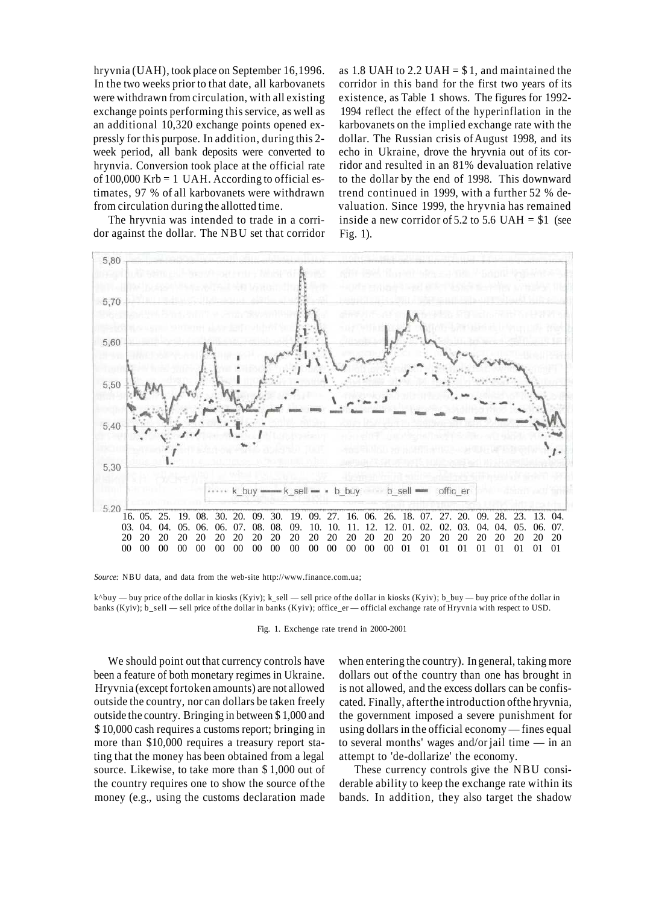hryvnia (UAH), took place on September 16,1996. In the two weeks prior to that date, all karbovanets were withdrawn from circulation, with all existing exchange points performing this service, as well as an additional 10,320 exchange points opened expressly for this purpose. In addition, during this 2 week period, all bank deposits were converted to hrynvia. Conversion took place at the official rate of  $100,000$  Krb = 1 UAH. According to official estimates, 97 % of all karbovanets were withdrawn from circulation during the allotted time.

The hryvnia was intended to trade in a corridor against the dollar. The NBU set that corridor

as 1.8 UAH to 2.2 UAH =  $$1$ , and maintained the corridor in this band for the first two years of its existence, as Table 1 shows. The figures for 1992- 1994 reflect the effect of the hyperinflation in the karbovanets on the implied exchange rate with the dollar. The Russian crisis of August 1998, and its echo in Ukraine, drove the hryvnia out of its corridor and resulted in an 81% devaluation relative to the dollar by the end of 1998. This downward trend continued in 1999, with a further 52 % devaluation. Since 1999, the hryvnia has remained inside a new corridor of 5.2 to 5.6 UAH  $= $1$  (see Fig. 1).



*Source:* NBU data, and data from the web-site http://www.finance.com.ua;

k^buy — buy price of the dollar in kiosks (Kyiv); k\_sell — sell price of the dollar in kiosks (Kyiv); b\_buy — buy price of the dollar in banks (Kyiv); b\_sell — sell price of the dollar in banks (Kyiv); office\_er — official exchange rate of Hryvnia with respect to USD.

Fig. 1. Exchenge rate trend in 2000-2001

We should point out that currency controls have been a feature of both monetary regimes in Ukraine. Hryvnia (except fortoken amounts) are not allowed outside the country, nor can dollars be taken freely outside the country. Bringing in between \$ 1,000 and \$ 10,000 cash requires a customs report; bringing in more than \$10,000 requires a treasury report stating that the money has been obtained from a legal source. Likewise, to take more than \$ 1,000 out of the country requires one to show the source of the money (e.g., using the customs declaration made

when entering the country). In general, taking more dollars out of the country than one has brought in is not allowed, and the excess dollars can be confiscated. Finally, after the introduction of the hryvnia, the government imposed a severe punishment for using dollars in the official economy — fines equal to several months' wages and/or jail time — in an attempt to 'de-dollarize' the economy.

These currency controls give the NBU considerable ability to keep the exchange rate within its bands. In addition, they also target the shadow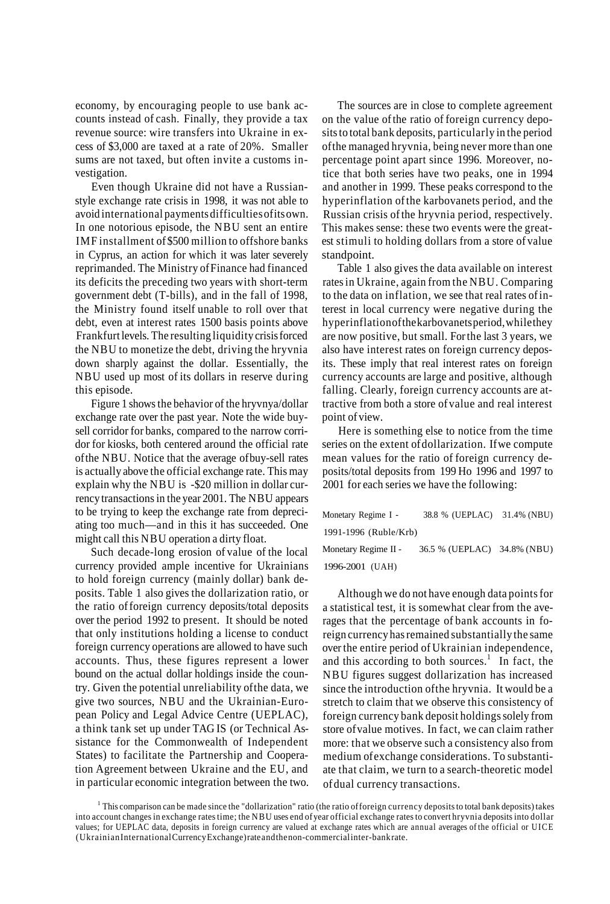economy, by encouraging people to use bank accounts instead of cash. Finally, they provide a tax revenue source: wire transfers into Ukraine in excess of \$3,000 are taxed at a rate of 20%. Smaller sums are not taxed, but often invite a customs investigation.

Even though Ukraine did not have a Russianstyle exchange rate crisis in 1998, it was not able to avoid international payments difficulties of its own. In one notorious episode, the NBU sent an entire IMF installment of \$500 million to offshore banks in Cyprus, an action for which it was later severely reprimanded. The Ministry of Finance had financed its deficits the preceding two years with short-term government debt (T-bills), and in the fall of 1998, the Ministry found itself unable to roll over that debt, even at interest rates 1500 basis points above Frankfurt levels. The resulting liquidity crisis forced the NBU to monetize the debt, driving the hryvnia down sharply against the dollar. Essentially, the NBU used up most of its dollars in reserve during this episode.

Figure 1 shows the behavior of the hryvnya/dollar exchange rate over the past year. Note the wide buysell corridor for banks, compared to the narrow corridor for kiosks, both centered around the official rate of the NBU. Notice that the average of buy-sell rates is actually above the official exchange rate. This may explain why the NBU is -\$20 million in dollar currency transactions in the year 2001. The NBU appears to be trying to keep the exchange rate from depreciating too much—and in this it has succeeded. One might call this NBU operation a dirty float.

Such decade-long erosion of value of the local currency provided ample incentive for Ukrainians to hold foreign currency (mainly dollar) bank deposits. Table 1 also gives the dollarization ratio, or the ratio of foreign currency deposits/total deposits over the period 1992 to present. It should be noted that only institutions holding a license to conduct foreign currency operations are allowed to have such accounts. Thus, these figures represent a lower bound on the actual dollar holdings inside the country. Given the potential unreliability of the data, we give two sources, NBU and the Ukrainian-European Policy and Legal Advice Centre (UEPLAC), a think tank set up under TAG IS (or Technical Assistance for the Commonwealth of Independent States) to facilitate the Partnership and Cooperation Agreement between Ukraine and the EU, and in particular economic integration between the two.

The sources are in close to complete agreement on the value of the ratio of foreign currency deposits to total bank deposits, particularly in the period of the managed hryvnia, being never more than one percentage point apart since 1996. Moreover, notice that both series have two peaks, one in 1994 and another in 1999. These peaks correspond to the hyperinflation of the karbovanets period, and the Russian crisis of the hryvnia period, respectively. This makes sense: these two events were the greatest stimuli to holding dollars from a store of value standpoint.

Table 1 also gives the data available on interest rates in Ukraine, again from the NBU. Comparing to the data on inflation, we see that real rates of interest in local currency were negative during the hyperinflation of the karbovanets period, while they are now positive, but small. For the last 3 years, we also have interest rates on foreign currency deposits. These imply that real interest rates on foreign currency accounts are large and positive, although falling. Clearly, foreign currency accounts are attractive from both a store of value and real interest point of view.

Here is something else to notice from the time series on the extent of dollarization. If we compute mean values for the ratio of foreign currency deposits/total deposits from 199 Ho 1996 and 1997 to 2001 for each series we have the following:

| Monetary Regime I -   | 38.8 % (UEPLAC) 31.4% (NBU) |  |
|-----------------------|-----------------------------|--|
| 1991-1996 (Ruble/Krb) |                             |  |
| Monetary Regime II -  | 36.5 % (UEPLAC) 34.8% (NBU) |  |

1996-2001 (UAH)

Although we do not have enough data points for a statistical test, it is somewhat clear from the averages that the percentage of bank accounts in foreign currency has remained substantially the same over the entire period of Ukrainian independence, and this according to both sources.<sup>1</sup> In fact, the NBU figures suggest dollarization has increased since the introduction of the hryvnia. It would be a stretch to claim that we observe this consistency of foreign currency bank deposit holdings solely from store of value motives. In fact, we can claim rather more: that we observe such a consistency also from medium of exchange considerations. To substantiate that claim, we turn to a search-theoretic model of dual currency transactions.

<sup>1</sup> This comparison can be made since the "dollarization" ratio (the ratio of foreign currency deposits to total bank deposits) takes into account changes in exchange rates time; the NBU uses end of year official exchange rates to convert hryvnia deposits into dollar values; for UEPLAC data, deposits in foreign currency are valued at exchange rates which are annual averages of the official or UICE (Ukrainian International Currency Exchange) rate and the non-commercial inter-bank rate.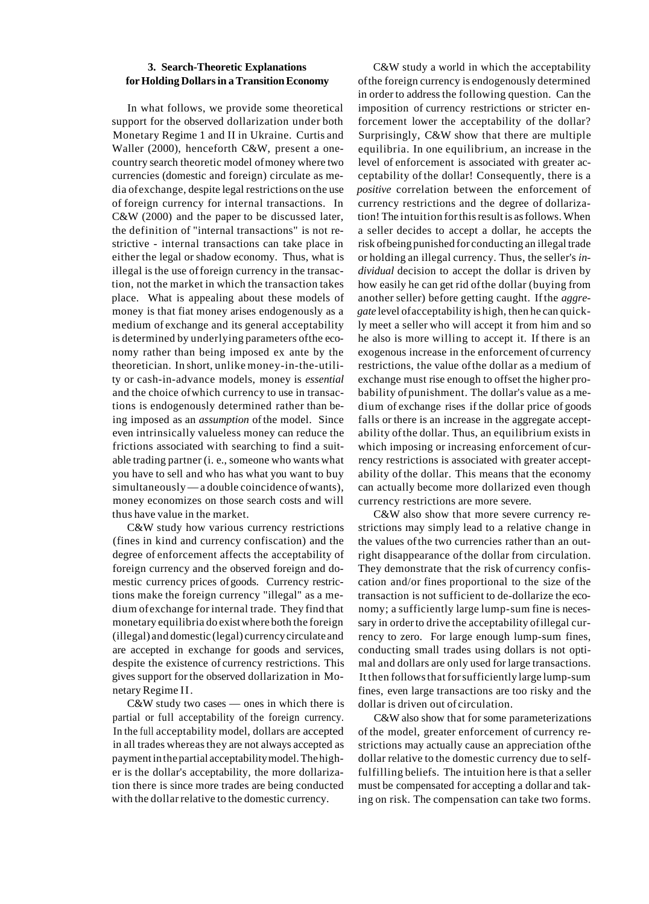### **3. Search-Theoretic Explanations for Holding Dollars in a Transition Economy**

In what follows, we provide some theoretical support for the observed dollarization under both Monetary Regime 1 and II in Ukraine. Curtis and Waller (2000), henceforth C&W, present a onecountry search theoretic model of money where two currencies (domestic and foreign) circulate as media of exchange, despite legal restrictions on the use of foreign currency for internal transactions. In C&W (2000) and the paper to be discussed later, the definition of "internal transactions" is not restrictive - internal transactions can take place in either the legal or shadow economy. Thus, what is illegal is the use of foreign currency in the transaction, not the market in which the transaction takes place. What is appealing about these models of money is that fiat money arises endogenously as a medium of exchange and its general acceptability is determined by underlying parameters of the economy rather than being imposed ex ante by the theoretician. In short, unlike money-in-the-utility or cash-in-advance models, money is *essential* and the choice of which currency to use in transactions is endogenously determined rather than being imposed as an *assumption* of the model. Since even intrinsically valueless money can reduce the frictions associated with searching to find a suitable trading partner (i. e., someone who wants what you have to sell and who has what you want to buy simultaneously — a double coincidence of wants), money economizes on those search costs and will thus have value in the market.

C&W study how various currency restrictions (fines in kind and currency confiscation) and the degree of enforcement affects the acceptability of foreign currency and the observed foreign and domestic currency prices of goods. Currency restrictions make the foreign currency "illegal" as a medium of exchange for internal trade. They find that monetary equilibria do exist where both the foreign (illegal) and domestic (legal) currency circulate and are accepted in exchange for goods and services, despite the existence of currency restrictions. This gives support for the observed dollarization in Monetary Regime II.

C&W study two cases — ones in which there is partial or full acceptability of the foreign currency. In the full acceptability model, dollars are accepted in all trades whereas they are not always accepted as payment in the partial acceptability model. The higher is the dollar's acceptability, the more dollarization there is since more trades are being conducted with the dollar relative to the domestic currency.

C&W study a world in which the acceptability of the foreign currency is endogenously determined in order to address the following question. Can the imposition of currency restrictions or stricter enforcement lower the acceptability of the dollar? Surprisingly, C&W show that there are multiple equilibria. In one equilibrium, an increase in the level of enforcement is associated with greater acceptability of the dollar! Consequently, there is a *positive* correlation between the enforcement of currency restrictions and the degree of dollarization! The intuition for this result is as follows. When a seller decides to accept a dollar, he accepts the risk of being punished for conducting an illegal trade or holding an illegal currency. Thus, the seller's *individual* decision to accept the dollar is driven by how easily he can get rid of the dollar (buying from another seller) before getting caught. If the *aggregate* level of acceptability is high, then he can quickly meet a seller who will accept it from him and so he also is more willing to accept it. If there is an exogenous increase in the enforcement of currency restrictions, the value of the dollar as a medium of exchange must rise enough to offset the higher probability of punishment. The dollar's value as a medium of exchange rises if the dollar price of goods falls or there is an increase in the aggregate acceptability of the dollar. Thus, an equilibrium exists in which imposing or increasing enforcement of currency restrictions is associated with greater acceptability of the dollar. This means that the economy can actually become more dollarized even though currency restrictions are more severe.

C&W also show that more severe currency restrictions may simply lead to a relative change in the values of the two currencies rather than an outright disappearance of the dollar from circulation. They demonstrate that the risk of currency confiscation and/or fines proportional to the size of the transaction is not sufficient to de-dollarize the economy; a sufficiently large lump-sum fine is necessary in order to drive the acceptability of illegal currency to zero. For large enough lump-sum fines, conducting small trades using dollars is not optimal and dollars are only used for large transactions. It then follows that for sufficiently large lump-sum fines, even large transactions are too risky and the dollar is driven out of circulation.

C&W also show that for some parameterizations of the model, greater enforcement of currency restrictions may actually cause an appreciation of the dollar relative to the domestic currency due to selffulfilling beliefs. The intuition here is that a seller must be compensated for accepting a dollar and taking on risk. The compensation can take two forms.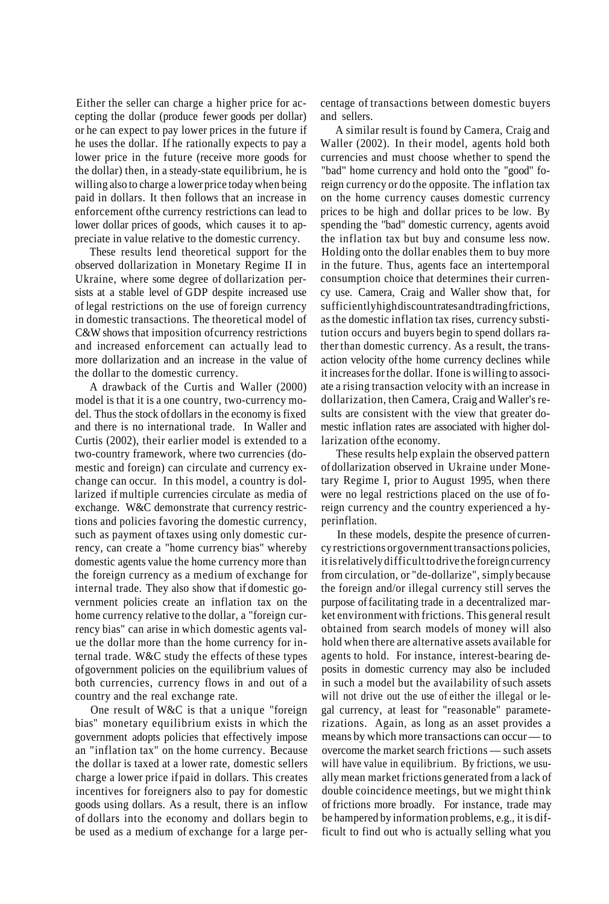Either the seller can charge a higher price for accepting the dollar (produce fewer goods per dollar) or he can expect to pay lower prices in the future if he uses the dollar. If he rationally expects to pay a lower price in the future (receive more goods for the dollar) then, in a steady-state equilibrium, he is willing also to charge a lower price today when being paid in dollars. It then follows that an increase in enforcement of the currency restrictions can lead to lower dollar prices of goods, which causes it to appreciate in value relative to the domestic currency.

These results lend theoretical support for the observed dollarization in Monetary Regime II in Ukraine, where some degree of dollarization persists at a stable level of GDP despite increased use of legal restrictions on the use of foreign currency in domestic transactions. The theoretical model of C&W shows that imposition of currency restrictions and increased enforcement can actually lead to more dollarization and an increase in the value of the dollar to the domestic currency.

A drawback of the Curtis and Waller (2000) model is that it is a one country, two-currency model. Thus the stock of dollars in the economy is fixed and there is no international trade. In Waller and Curtis (2002), their earlier model is extended to a two-country framework, where two currencies (domestic and foreign) can circulate and currency exchange can occur. In this model, a country is dollarized if multiple currencies circulate as media of exchange. W&C demonstrate that currency restrictions and policies favoring the domestic currency, such as payment of taxes using only domestic currency, can create a "home currency bias" whereby domestic agents value the home currency more than the foreign currency as a medium of exchange for internal trade. They also show that if domestic government policies create an inflation tax on the home currency relative to the dollar, a "foreign currency bias" can arise in which domestic agents value the dollar more than the home currency for internal trade. W&C study the effects of these types of government policies on the equilibrium values of both currencies, currency flows in and out of a country and the real exchange rate.

One result of W&C is that a unique "foreign bias" monetary equilibrium exists in which the government adopts policies that effectively impose an "inflation tax" on the home currency. Because the dollar is taxed at a lower rate, domestic sellers charge a lower price if paid in dollars. This creates incentives for foreigners also to pay for domestic goods using dollars. As a result, there is an inflow of dollars into the economy and dollars begin to be used as a medium of exchange for a large percentage of transactions between domestic buyers and sellers.

A similar result is found by Camera, Craig and Waller (2002). In their model, agents hold both currencies and must choose whether to spend the "bad" home currency and hold onto the "good" foreign currency or do the opposite. The inflation tax on the home currency causes domestic currency prices to be high and dollar prices to be low. By spending the "bad" domestic currency, agents avoid the inflation tax but buy and consume less now. Holding onto the dollar enables them to buy more in the future. Thus, agents face an intertemporal consumption choice that determines their currency use. Camera, Craig and Waller show that, for sufficiently high discount rates and trading frictions, as the domestic inflation tax rises, currency substitution occurs and buyers begin to spend dollars rather than domestic currency. As a result, the transaction velocity of the home currency declines while it increases for the dollar. If one is willing to associate a rising transaction velocity with an increase in dollarization, then Camera, Craig and Waller's results are consistent with the view that greater domestic inflation rates are associated with higher dollarization of the economy.

These results help explain the observed pattern of dollarization observed in Ukraine under Monetary Regime I, prior to August 1995, when there were no legal restrictions placed on the use of foreign currency and the country experienced a hyperinflation.

In these models, despite the presence of currency restrictions or government transactions policies, it is relatively difficult to drive the foreign currency from circulation, or "de-dollarize", simply because the foreign and/or illegal currency still serves the purpose of facilitating trade in a decentralized market environment with frictions. This general result obtained from search models of money will also hold when there are alternative assets available for agents to hold. For instance, interest-bearing deposits in domestic currency may also be included in such a model but the availability of such assets will not drive out the use of either the illegal or legal currency, at least for "reasonable" parameterizations. Again, as long as an asset provides a means by which more transactions can occur — to overcome the market search frictions — such assets will have value in equilibrium. By frictions, we usually mean market frictions generated from a lack of double coincidence meetings, but we might think of frictions more broadly. For instance, trade may be hampered by information problems, e.g., it is difficult to find out who is actually selling what you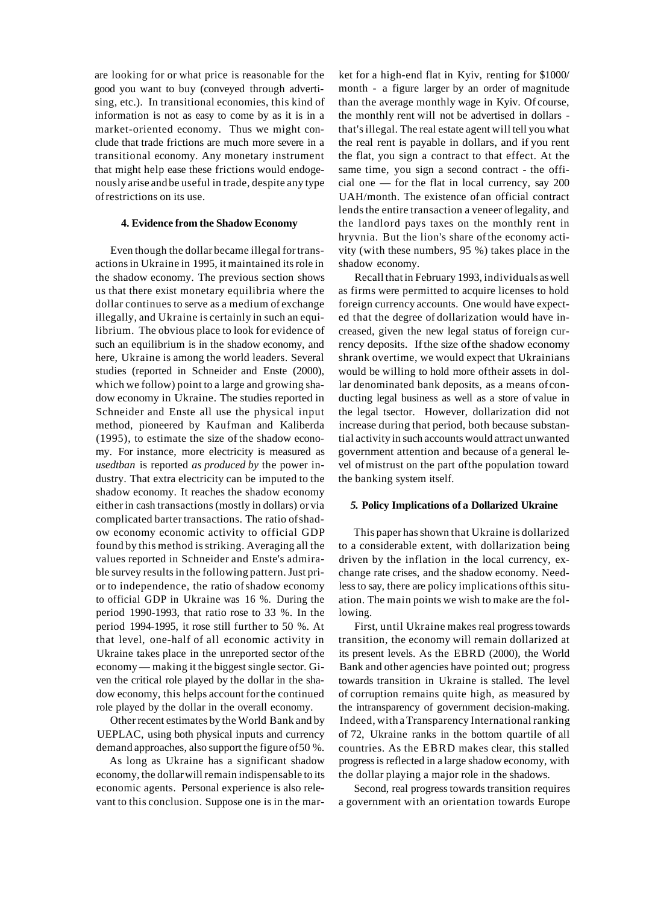are looking for or what price is reasonable for the good you want to buy (conveyed through advertising, etc.). In transitional economies, this kind of information is not as easy to come by as it is in a market-oriented economy. Thus we might conclude that trade frictions are much more severe in a transitional economy. Any monetary instrument that might help ease these frictions would endogenously arise and be useful in trade, despite any type of restrictions on its use.

### **4. Evidence from the Shadow Economy**

Even though the dollar became illegal for transactions in Ukraine in 1995, it maintained its role in the shadow economy. The previous section shows us that there exist monetary equilibria where the dollar continues to serve as a medium of exchange illegally, and Ukraine is certainly in such an equilibrium. The obvious place to look for evidence of such an equilibrium is in the shadow economy, and here, Ukraine is among the world leaders. Several studies (reported in Schneider and Enste (2000), which we follow) point to a large and growing shadow economy in Ukraine. The studies reported in Schneider and Enste all use the physical input method, pioneered by Kaufman and Kaliberda (1995), to estimate the size of the shadow economy. For instance, more electricity is measured as *usedtban* is reported *as produced by* the power industry. That extra electricity can be imputed to the shadow economy. It reaches the shadow economy either in cash transactions (mostly in dollars) or via complicated barter transactions. The ratio of shadow economy economic activity to official GDP found by this method is striking. Averaging all the values reported in Schneider and Enste's admirable survey results in the following pattern. Just prior to independence, the ratio of shadow economy to official GDP in Ukraine was 16 %. During the period 1990-1993, that ratio rose to 33 %. In the period 1994-1995, it rose still further to 50 %. At that level, one-half of all economic activity in Ukraine takes place in the unreported sector of the economy — making it the biggest single sector. Given the critical role played by the dollar in the shadow economy, this helps account for the continued role played by the dollar in the overall economy.

Other recent estimates by the World Bank and by UEPLAC, using both physical inputs and currency demand approaches, also support the figure of 50 %.

As long as Ukraine has a significant shadow economy, the dollar will remain indispensable to its economic agents. Personal experience is also relevant to this conclusion. Suppose one is in the market for a high-end flat in Kyiv, renting for \$1000/ month - a figure larger by an order of magnitude than the average monthly wage in Kyiv. Of course, the monthly rent will not be advertised in dollars that's illegal. The real estate agent will tell you what the real rent is payable in dollars, and if you rent the flat, you sign a contract to that effect. At the same time, you sign a second contract - the official one — for the flat in local currency, say 200 UAH/month. The existence of an official contract lends the entire transaction a veneer of legality, and the landlord pays taxes on the monthly rent in hryvnia. But the lion's share of the economy activity (with these numbers, 95 %) takes place in the shadow economy.

Recall that in February 1993, individuals as well as firms were permitted to acquire licenses to hold foreign currency accounts. One would have expected that the degree of dollarization would have increased, given the new legal status of foreign currency deposits. If the size of the shadow economy shrank overtime, we would expect that Ukrainians would be willing to hold more of their assets in dollar denominated bank deposits, as a means of conducting legal business as well as a store of value in the legal tsector. However, dollarization did not increase during that period, both because substantial activity in such accounts would attract unwanted government attention and because of a general level of mistrust on the part of the population toward the banking system itself.

#### *5.* **Policy Implications of a Dollarized Ukraine**

This paper has shown that Ukraine is dollarized to a considerable extent, with dollarization being driven by the inflation in the local currency, exchange rate crises, and the shadow economy. Needless to say, there are policy implications of this situation. The main points we wish to make are the following.

First, until Ukraine makes real progress towards transition, the economy will remain dollarized at its present levels. As the EBRD (2000), the World Bank and other agencies have pointed out; progress towards transition in Ukraine is stalled. The level of corruption remains quite high, as measured by the intransparency of government decision-making. Indeed, with a Transparency International ranking of 72, Ukraine ranks in the bottom quartile of all countries. As the EBRD makes clear, this stalled progress is reflected in a large shadow economy, with the dollar playing a major role in the shadows.

Second, real progress towards transition requires a government with an orientation towards Europe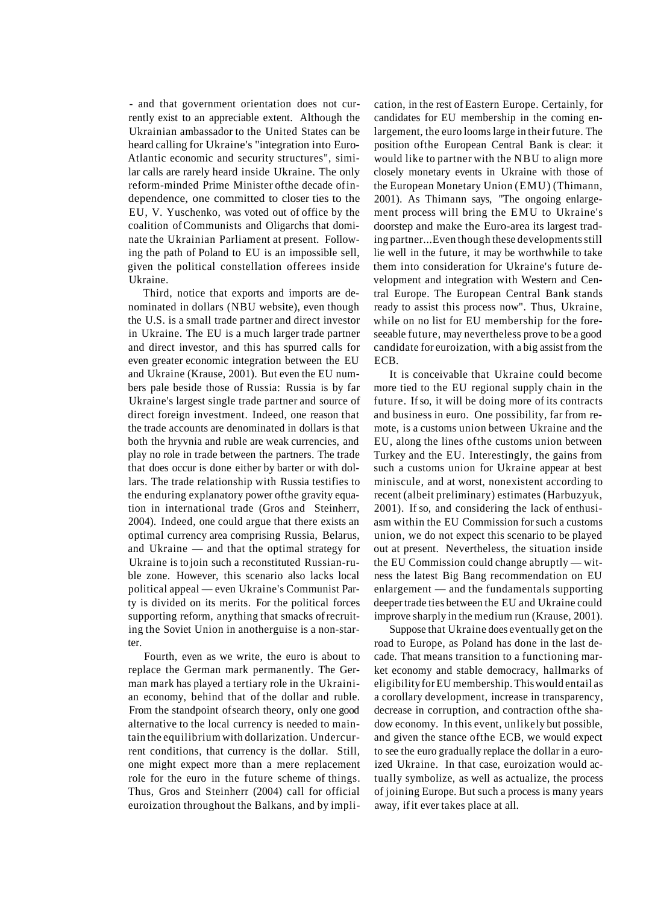- and that government orientation does not currently exist to an appreciable extent. Although the Ukrainian ambassador to the United States can be heard calling for Ukraine's "integration into Euro-Atlantic economic and security structures", similar calls are rarely heard inside Ukraine. The only reform-minded Prime Minister ofthe decade of independence, one committed to closer ties to the EU, V. Yuschenko, was voted out of office by the coalition of Communists and Oligarchs that dominate the Ukrainian Parliament at present. Following the path of Poland to EU is an impossible sell, given the political constellation offerees inside Ukraine.

Third, notice that exports and imports are denominated in dollars (NBU website), even though the U.S. is a small trade partner and direct investor in Ukraine. The EU is a much larger trade partner and direct investor, and this has spurred calls for even greater economic integration between the EU and Ukraine (Krause, 2001). But even the EU numbers pale beside those of Russia: Russia is by far Ukraine's largest single trade partner and source of direct foreign investment. Indeed, one reason that the trade accounts are denominated in dollars is that both the hryvnia and ruble are weak currencies, and play no role in trade between the partners. The trade that does occur is done either by barter or with dollars. The trade relationship with Russia testifies to the enduring explanatory power ofthe gravity equation in international trade (Gros and Steinherr, 2004). Indeed, one could argue that there exists an optimal currency area comprising Russia, Belarus, and Ukraine — and that the optimal strategy for Ukraine is to join such a reconstituted Russian-ruble zone. However, this scenario also lacks local political appeal — even Ukraine's Communist Party is divided on its merits. For the political forces supporting reform, anything that smacks of recruiting the Soviet Union in anotherguise is a non-starter.

Fourth, even as we write, the euro is about to replace the German mark permanently. The German mark has played a tertiary role in the Ukrainian economy, behind that of the dollar and ruble. From the standpoint of search theory, only one good alternative to the local currency is needed to maintain the equilibrium with dollarization. Undercurrent conditions, that currency is the dollar. Still, one might expect more than a mere replacement role for the euro in the future scheme of things. Thus, Gros and Steinherr (2004) call for official euroization throughout the Balkans, and by implication, in the rest of Eastern Europe. Certainly, for candidates for EU membership in the coming enlargement, the euro looms large in their future. The position ofthe European Central Bank is clear: it would like to partner with the NBU to align more closely monetary events in Ukraine with those of the European Monetary Union (EMU) (Thimann, 2001). As Thimann says, "The ongoing enlargement process will bring the EMU to Ukraine's doorstep and make the Euro-area its largest trading partner...Even though these developments still lie well in the future, it may be worthwhile to take them into consideration for Ukraine's future development and integration with Western and Central Europe. The European Central Bank stands ready to assist this process now". Thus, Ukraine, while on no list for EU membership for the foreseeable future, may nevertheless prove to be a good candidate for euroization, with a big assist from the ECB.

It is conceivable that Ukraine could become more tied to the EU regional supply chain in the future. If so, it will be doing more of its contracts and business in euro. One possibility, far from remote, is a customs union between Ukraine and the EU, along the lines ofthe customs union between Turkey and the EU. Interestingly, the gains from such a customs union for Ukraine appear at best miniscule, and at worst, nonexistent according to recent (albeit preliminary) estimates (Harbuzyuk, 2001). If so, and considering the lack of enthusiasm within the EU Commission for such a customs union, we do not expect this scenario to be played out at present. Nevertheless, the situation inside the EU Commission could change abruptly — witness the latest Big Bang recommendation on EU enlargement — and the fundamentals supporting deeper trade ties between the EU and Ukraine could improve sharply in the medium run (Krause, 2001).

Suppose that Ukraine does eventually get on the road to Europe, as Poland has done in the last decade. That means transition to a functioning market economy and stable democracy, hallmarks of eligibility for EU membership. This would entail as a corollary development, increase in transparency, decrease in corruption, and contraction ofthe shadow economy. In this event, unlikely but possible, and given the stance ofthe ECB, we would expect to see the euro gradually replace the dollar in a euroized Ukraine. In that case, euroization would actually symbolize, as well as actualize, the process of joining Europe. But such a process is many years away, if it ever takes place at all.